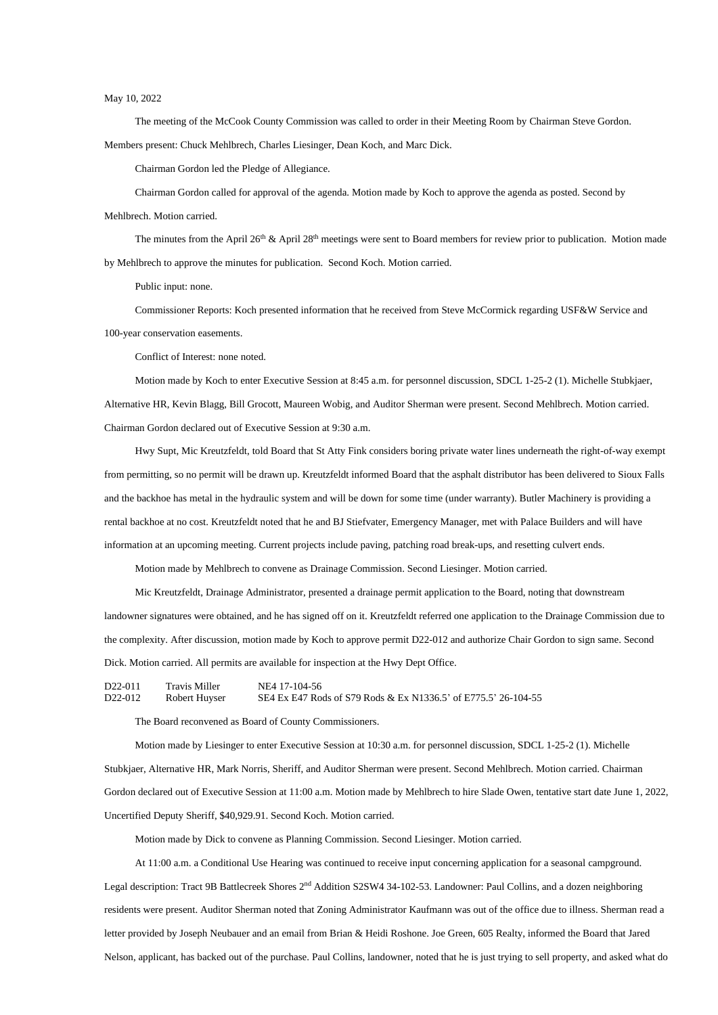## May 10, 2022

The meeting of the McCook County Commission was called to order in their Meeting Room by Chairman Steve Gordon.

Members present: Chuck Mehlbrech, Charles Liesinger, Dean Koch, and Marc Dick.

Chairman Gordon led the Pledge of Allegiance.

The minutes from the April 26<sup>th</sup> & April 28<sup>th</sup> meetings were sent to Board members for review prior to publication. Motion made by Mehlbrech to approve the minutes for publication. Second Koch. Motion carried.

Chairman Gordon called for approval of the agenda. Motion made by Koch to approve the agenda as posted. Second by

Mehlbrech. Motion carried.

Public input: none.

Commissioner Reports: Koch presented information that he received from Steve McCormick regarding USF&W Service and 100-year conservation easements.

Conflict of Interest: none noted.

Motion made by Koch to enter Executive Session at 8:45 a.m. for personnel discussion, SDCL 1-25-2 (1). Michelle Stubkjaer, Alternative HR, Kevin Blagg, Bill Grocott, Maureen Wobig, and Auditor Sherman were present. Second Mehlbrech. Motion carried. Chairman Gordon declared out of Executive Session at 9:30 a.m.

D22-011 Travis Miller NE4 17-104-56 D22-012 Robert Huyser SE4 Ex E47 Rods of S79 Rods & Ex N1336.5' of E775.5' 26-104-55

Hwy Supt, Mic Kreutzfeldt, told Board that St Atty Fink considers boring private water lines underneath the right-of-way exempt from permitting, so no permit will be drawn up. Kreutzfeldt informed Board that the asphalt distributor has been delivered to Sioux Falls and the backhoe has metal in the hydraulic system and will be down for some time (under warranty). Butler Machinery is providing a rental backhoe at no cost. Kreutzfeldt noted that he and BJ Stiefvater, Emergency Manager, met with Palace Builders and will have information at an upcoming meeting. Current projects include paving, patching road break-ups, and resetting culvert ends.

Motion made by Mehlbrech to convene as Drainage Commission. Second Liesinger. Motion carried.

Mic Kreutzfeldt, Drainage Administrator, presented a drainage permit application to the Board, noting that downstream landowner signatures were obtained, and he has signed off on it. Kreutzfeldt referred one application to the Drainage Commission due to the complexity. After discussion, motion made by Koch to approve permit D22-012 and authorize Chair Gordon to sign same. Second Dick. Motion carried. All permits are available for inspection at the Hwy Dept Office.

The Board reconvened as Board of County Commissioners.

Motion made by Liesinger to enter Executive Session at 10:30 a.m. for personnel discussion, SDCL 1-25-2 (1). Michelle

Stubkjaer, Alternative HR, Mark Norris, Sheriff, and Auditor Sherman were present. Second Mehlbrech. Motion carried. Chairman

Gordon declared out of Executive Session at 11:00 a.m. Motion made by Mehlbrech to hire Slade Owen, tentative start date June 1, 2022,

Uncertified Deputy Sheriff, \$40,929.91. Second Koch. Motion carried.

Motion made by Dick to convene as Planning Commission. Second Liesinger. Motion carried.

At 11:00 a.m. a Conditional Use Hearing was continued to receive input concerning application for a seasonal campground.

Legal description: Tract 9B Battlecreek Shores 2<sup>nd</sup> Addition S2SW4 34-102-53. Landowner: Paul Collins, and a dozen neighboring

residents were present. Auditor Sherman noted that Zoning Administrator Kaufmann was out of the office due to illness. Sherman read a

letter provided by Joseph Neubauer and an email from Brian & Heidi Roshone. Joe Green, 605 Realty, informed the Board that Jared

Nelson, applicant, has backed out of the purchase. Paul Collins, landowner, noted that he is just trying to sell property, and asked what do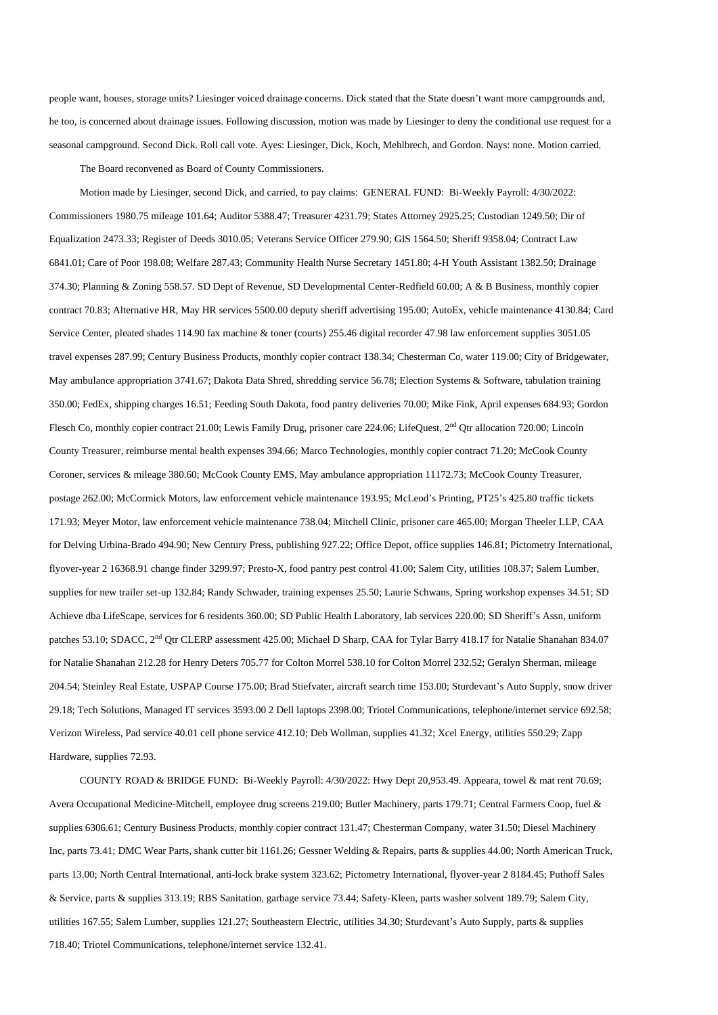people want, houses, storage units? Liesinger voiced drainage concerns. Dick stated that the State doesn't want more campgrounds and, he too, is concerned about drainage issues. Following discussion, motion was made by Liesinger to deny the conditional use request for a seasonal campground. Second Dick. Roll call vote. Ayes: Liesinger, Dick, Koch, Mehlbrech, and Gordon. Nays: none. Motion carried.

The Board reconvened as Board of County Commissioners.

Motion made by Liesinger, second Dick, and carried, to pay claims: GENERAL FUND: Bi-Weekly Payroll: 4/30/2022: Commissioners 1980.75 mileage 101.64; Auditor 5388.47; Treasurer 4231.79; States Attorney 2925.25; Custodian 1249.50; Dir of Equalization 2473.33; Register of Deeds 3010.05; Veterans Service Officer 279.90; GIS 1564.50; Sheriff 9358.04; Contract Law 6841.01; Care of Poor 198.08; Welfare 287.43; Community Health Nurse Secretary 1451.80; 4-H Youth Assistant 1382.50; Drainage 374.30; Planning & Zoning 558.57. SD Dept of Revenue, SD Developmental Center-Redfield 60.00; A & B Business, monthly copier contract 70.83; Alternative HR, May HR services 5500.00 deputy sheriff advertising 195.00; AutoEx, vehicle maintenance 4130.84; Card Service Center, pleated shades 114.90 fax machine & toner (courts) 255.46 digital recorder 47.98 law enforcement supplies 3051.05 travel expenses 287.99; Century Business Products, monthly copier contract 138.34; Chesterman Co, water 119.00; City of Bridgewater, May ambulance appropriation 3741.67; Dakota Data Shred, shredding service 56.78; Election Systems & Software, tabulation training 350.00; FedEx, shipping charges 16.51; Feeding South Dakota, food pantry deliveries 70.00; Mike Fink, April expenses 684.93; Gordon Flesch Co, monthly copier contract 21.00; Lewis Family Drug, prisoner care 224.06; LifeQuest, 2<sup>nd</sup> Qtr allocation 720.00; Lincoln County Treasurer, reimburse mental health expenses 394.66; Marco Technologies, monthly copier contract 71.20; McCook County Coroner, services & mileage 380.60; McCook County EMS, May ambulance appropriation 11172.73; McCook County Treasurer, postage 262.00; McCormick Motors, law enforcement vehicle maintenance 193.95; McLeod's Printing, PT25's 425.80 traffic tickets 171.93; Meyer Motor, law enforcement vehicle maintenance 738.04; Mitchell Clinic, prisoner care 465.00; Morgan Theeler LLP, CAA for Delving Urbina-Brado 494.90; New Century Press, publishing 927.22; Office Depot, office supplies 146.81; Pictometry International, flyover-year 2 16368.91 change finder 3299.97; Presto-X, food pantry pest control 41.00; Salem City, utilities 108.37; Salem Lumber, supplies for new trailer set-up 132.84; Randy Schwader, training expenses 25.50; Laurie Schwans, Spring workshop expenses 34.51; SD Achieve dba LifeScape, services for 6 residents 360.00; SD Public Health Laboratory, lab services 220.00; SD Sheriff's Assn, uniform patches 53.10; SDACC, 2<sup>nd</sup> Qtr CLERP assessment 425.00; Michael D Sharp, CAA for Tylar Barry 418.17 for Natalie Shanahan 834.07 for Natalie Shanahan 212.28 for Henry Deters 705.77 for Colton Morrel 538.10 for Colton Morrel 232.52; Geralyn Sherman, mileage 204.54; Steinley Real Estate, USPAP Course 175.00; Brad Stiefvater, aircraft search time 153.00; Sturdevant's Auto Supply, snow driver 29.18; Tech Solutions, Managed IT services 3593.00 2 Dell laptops 2398.00; Triotel Communications, telephone/internet service 692.58; Verizon Wireless, Pad service 40.01 cell phone service 412.10; Deb Wollman, supplies 41.32; Xcel Energy, utilities 550.29; Zapp Hardware, supplies 72.93.

COUNTY ROAD & BRIDGE FUND: Bi-Weekly Payroll: 4/30/2022: Hwy Dept 20,953.49. Appeara, towel & mat rent 70.69;

Avera Occupational Medicine-Mitchell, employee drug screens 219.00; Butler Machinery, parts 179.71; Central Farmers Coop, fuel &

supplies 6306.61; Century Business Products, monthly copier contract 131.47; Chesterman Company, water 31.50; Diesel Machinery

Inc, parts 73.41; DMC Wear Parts, shank cutter bit 1161.26; Gessner Welding & Repairs, parts & supplies 44.00; North American Truck,

parts 13.00; North Central International, anti-lock brake system 323.62; Pictometry International, flyover-year 2 8184.45; Puthoff Sales

& Service, parts & supplies 313.19; RBS Sanitation, garbage service 73.44; Safety-Kleen, parts washer solvent 189.79; Salem City,

utilities 167.55; Salem Lumber, supplies 121.27; Southeastern Electric, utilities 34.30; Sturdevant's Auto Supply, parts & supplies

718.40; Triotel Communications, telephone/internet service 132.41.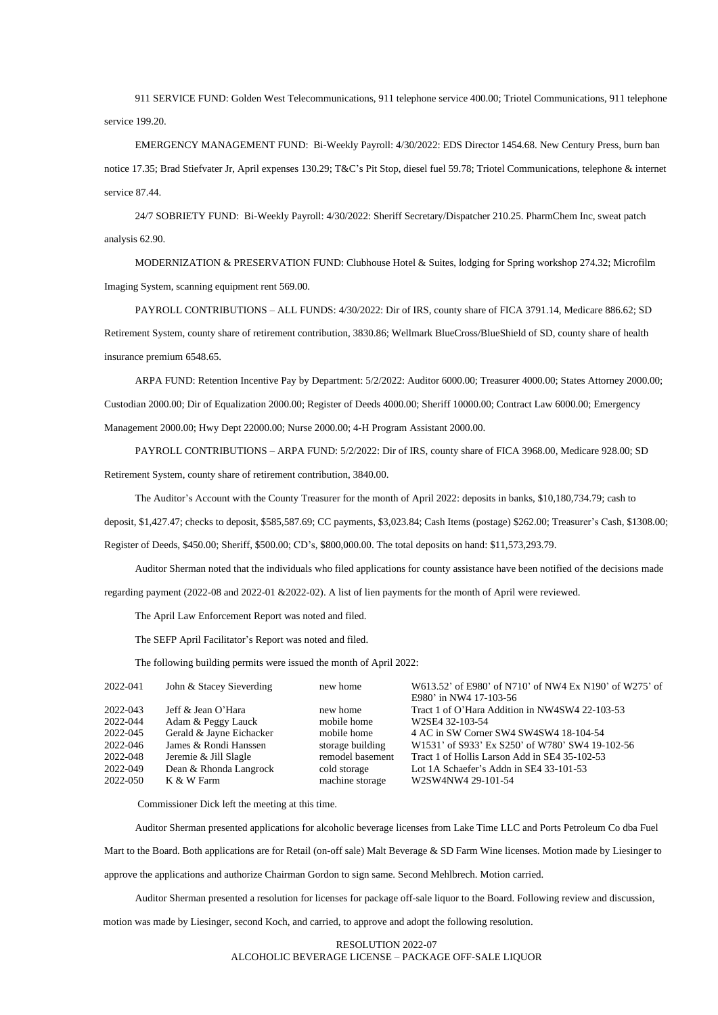911 SERVICE FUND: Golden West Telecommunications, 911 telephone service 400.00; Triotel Communications, 911 telephone service 199.20.

EMERGENCY MANAGEMENT FUND: Bi-Weekly Payroll: 4/30/2022: EDS Director 1454.68. New Century Press, burn ban notice 17.35; Brad Stiefvater Jr, April expenses 130.29; T&C's Pit Stop, diesel fuel 59.78; Triotel Communications, telephone & internet service 87.44.

24/7 SOBRIETY FUND: Bi-Weekly Payroll: 4/30/2022: Sheriff Secretary/Dispatcher 210.25. PharmChem Inc, sweat patch analysis 62.90.

MODERNIZATION & PRESERVATION FUND: Clubhouse Hotel & Suites, lodging for Spring workshop 274.32; Microfilm Imaging System, scanning equipment rent 569.00.

PAYROLL CONTRIBUTIONS – ALL FUNDS: 4/30/2022: Dir of IRS, county share of FICA 3791.14, Medicare 886.62; SD Retirement System, county share of retirement contribution, 3830.86; Wellmark BlueCross/BlueShield of SD, county share of health insurance premium 6548.65.

ARPA FUND: Retention Incentive Pay by Department: 5/2/2022: Auditor 6000.00; Treasurer 4000.00; States Attorney 2000.00; Custodian 2000.00; Dir of Equalization 2000.00; Register of Deeds 4000.00; Sheriff 10000.00; Contract Law 6000.00; Emergency Management 2000.00; Hwy Dept 22000.00; Nurse 2000.00; 4-H Program Assistant 2000.00.

PAYROLL CONTRIBUTIONS – ARPA FUND: 5/2/2022: Dir of IRS, county share of FICA 3968.00, Medicare 928.00; SD Retirement System, county share of retirement contribution, 3840.00.

The Auditor's Account with the County Treasurer for the month of April 2022: deposits in banks, \$10,180,734.79; cash to

deposit, \$1,427.47; checks to deposit, \$585,587.69; CC payments, \$3,023.84; Cash Items (postage) \$262.00; Treasurer's Cash, \$1308.00;

Register of Deeds, \$450.00; Sheriff, \$500.00; CD's, \$800,000.00. The total deposits on hand: \$11,573,293.79.

Auditor Sherman noted that the individuals who filed applications for county assistance have been notified of the decisions made regarding payment (2022-08 and 2022-01 &2022-02). A list of lien payments for the month of April were reviewed.

The April Law Enforcement Report was noted and filed.

The SEFP April Facilitator's Report was noted and filed.

The following building permits were issued the month of April 2022:

| 2022-041                                                                                         | John & Stacey Sieverding                                     | new home         | W613.52' of E980' of N710' of NW4 Ex N190' of W275' of |
|--------------------------------------------------------------------------------------------------|--------------------------------------------------------------|------------------|--------------------------------------------------------|
|                                                                                                  |                                                              |                  | E980' in NW4 17-103-56                                 |
| 2022-043                                                                                         | Jeff & Jean O'Hara                                           | new home         | Tract 1 of O'Hara Addition in NW4SW4 22-103-53         |
| 2022-044                                                                                         | Adam & Peggy Lauck                                           | mobile home      | W2SE4 32-103-54                                        |
| 2022-045                                                                                         | Gerald & Jayne Eichacker                                     | mobile home      | 4 AC in SW Corner SW4 SW4SW4 18-104-54                 |
| 2022-046                                                                                         | James & Rondi Hanssen                                        | storage building | W1531' of S933' Ex S250' of W780' SW4 19-102-56        |
| 2022-048                                                                                         | Jeremie & Jill Slagle                                        | remodel basement | Tract 1 of Hollis Larson Add in SE4 35-102-53          |
| $\begin{array}{c} \n\bullet \bullet \bullet \bullet \bullet \bullet \bullet \bullet \end{array}$ | $\mathbf{r}$ $\alpha$ $\mathbf{r}$ $\mathbf{r}$ $\mathbf{r}$ |                  |                                                        |

2022-049 Dean & Rhonda Langrock cold storage Lot 1A Schaefer's Addn in SE4 33-101-53 2022-050 K & W Farm machine storage W2SW4NW4 29-101-54

Commissioner Dick left the meeting at this time.

Auditor Sherman presented applications for alcoholic beverage licenses from Lake Time LLC and Ports Petroleum Co dba Fuel

Mart to the Board. Both applications are for Retail (on-off sale) Malt Beverage & SD Farm Wine licenses. Motion made by Liesinger to

approve the applications and authorize Chairman Gordon to sign same. Second Mehlbrech. Motion carried.

Auditor Sherman presented a resolution for licenses for package off-sale liquor to the Board. Following review and discussion,

motion was made by Liesinger, second Koch, and carried, to approve and adopt the following resolution.

RESOLUTION 2022-07 ALCOHOLIC BEVERAGE LICENSE – PACKAGE OFF-SALE LIQUOR